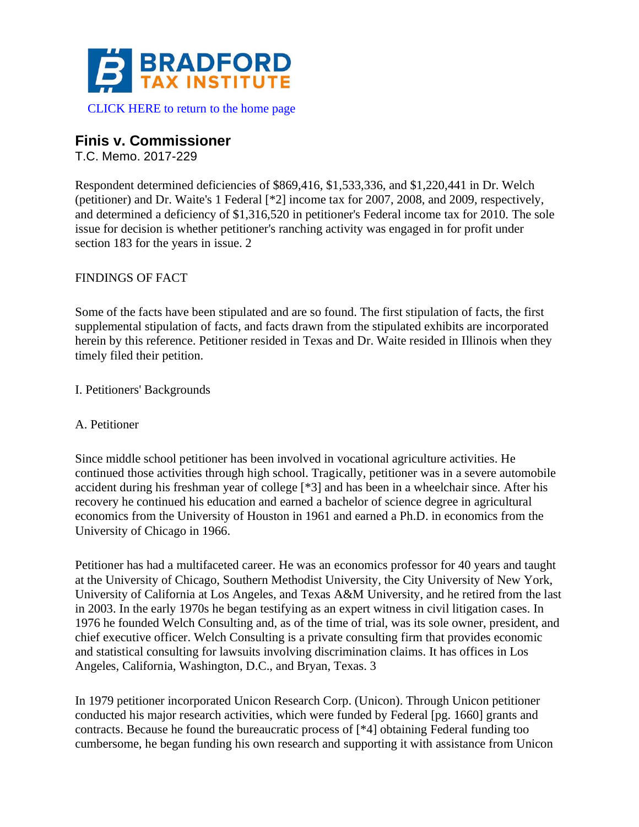

[CLICK HERE to return to the home page](https://www.bradfordtaxinstitute.com)

# **Finis v. Commissioner**

T.C. Memo. 2017-229

Respondent determined deficiencies of \$869,416, \$1,533,336, and \$1,220,441 in Dr. Welch (petitioner) and Dr. Waite's 1 Federal [\*2] income tax for 2007, 2008, and 2009, respectively, and determined a deficiency of \$1,316,520 in petitioner's Federal income tax for 2010. The sole issue for decision is whether petitioner's ranching activity was engaged in for profit under section 183 for the years in issue. 2

### FINDINGS OF FACT

Some of the facts have been stipulated and are so found. The first stipulation of facts, the first supplemental stipulation of facts, and facts drawn from the stipulated exhibits are incorporated herein by this reference. Petitioner resided in Texas and Dr. Waite resided in Illinois when they timely filed their petition.

I. Petitioners' Backgrounds

### A. Petitioner

Since middle school petitioner has been involved in vocational agriculture activities. He continued those activities through high school. Tragically, petitioner was in a severe automobile accident during his freshman year of college [\*3] and has been in a wheelchair since. After his recovery he continued his education and earned a bachelor of science degree in agricultural economics from the University of Houston in 1961 and earned a Ph.D. in economics from the University of Chicago in 1966.

Petitioner has had a multifaceted career. He was an economics professor for 40 years and taught at the University of Chicago, Southern Methodist University, the City University of New York, University of California at Los Angeles, and Texas A&M University, and he retired from the last in 2003. In the early 1970s he began testifying as an expert witness in civil litigation cases. In 1976 he founded Welch Consulting and, as of the time of trial, was its sole owner, president, and chief executive officer. Welch Consulting is a private consulting firm that provides economic and statistical consulting for lawsuits involving discrimination claims. It has offices in Los Angeles, California, Washington, D.C., and Bryan, Texas. 3

In 1979 petitioner incorporated Unicon Research Corp. (Unicon). Through Unicon petitioner conducted his major research activities, which were funded by Federal [pg. 1660] grants and contracts. Because he found the bureaucratic process of [\*4] obtaining Federal funding too cumbersome, he began funding his own research and supporting it with assistance from Unicon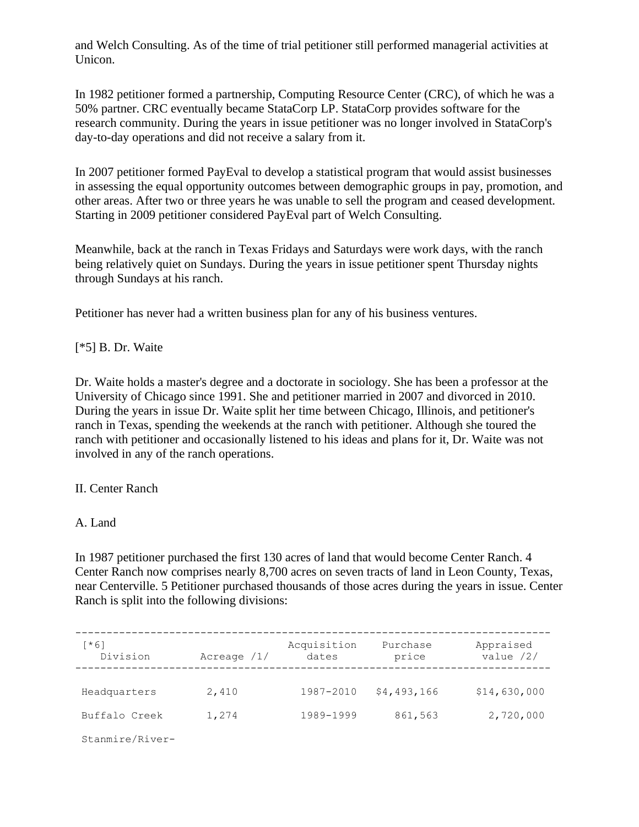and Welch Consulting. As of the time of trial petitioner still performed managerial activities at Unicon.

In 1982 petitioner formed a partnership, Computing Resource Center (CRC), of which he was a 50% partner. CRC eventually became StataCorp LP. StataCorp provides software for the research community. During the years in issue petitioner was no longer involved in StataCorp's day-to-day operations and did not receive a salary from it.

In 2007 petitioner formed PayEval to develop a statistical program that would assist businesses in assessing the equal opportunity outcomes between demographic groups in pay, promotion, and other areas. After two or three years he was unable to sell the program and ceased development. Starting in 2009 petitioner considered PayEval part of Welch Consulting.

Meanwhile, back at the ranch in Texas Fridays and Saturdays were work days, with the ranch being relatively quiet on Sundays. During the years in issue petitioner spent Thursday nights through Sundays at his ranch.

Petitioner has never had a written business plan for any of his business ventures.

[\*5] B. Dr. Waite

Dr. Waite holds a master's degree and a doctorate in sociology. She has been a professor at the University of Chicago since 1991. She and petitioner married in 2007 and divorced in 2010. During the years in issue Dr. Waite split her time between Chicago, Illinois, and petitioner's ranch in Texas, spending the weekends at the ranch with petitioner. Although she toured the ranch with petitioner and occasionally listened to his ideas and plans for it, Dr. Waite was not involved in any of the ranch operations.

### II. Center Ranch

### A. Land

In 1987 petitioner purchased the first 130 acres of land that would become Center Ranch. 4 Center Ranch now comprises nearly 8,700 acres on seven tracts of land in Leon County, Texas, near Centerville. 5 Petitioner purchased thousands of those acres during the years in issue. Center Ranch is split into the following divisions:

| [*6]<br>Division | Acreage $/1/$ | Acquisition<br>dates | Purchase<br>price | Appraised<br>value $/2/$ |
|------------------|---------------|----------------------|-------------------|--------------------------|
|                  |               |                      |                   |                          |
| Headquarters     | 2,410         | 1987-2010            | \$4,493,166       | \$14,630,000             |
| Buffalo Creek    | 1,274         | 1989-1999            | 861,563           | 2,720,000                |
| Stanmire/River-  |               |                      |                   |                          |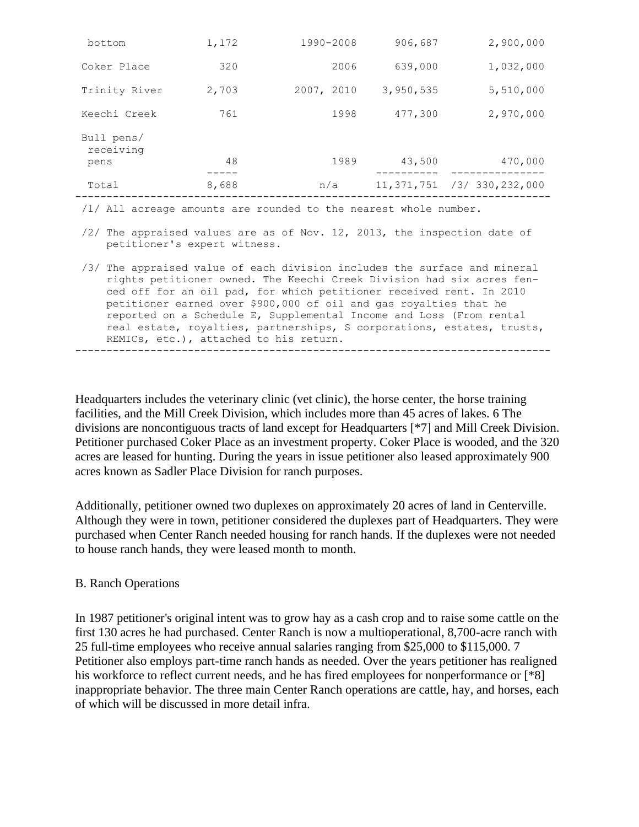| bottom                                                                                                   | 1,172 | 1990-2008  | 906,687   | 2,900,000                        |  |  |
|----------------------------------------------------------------------------------------------------------|-------|------------|-----------|----------------------------------|--|--|
| Coker Place                                                                                              | 320   | 2006       | 639,000   | 1,032,000                        |  |  |
| Trinity River                                                                                            | 2,703 | 2007, 2010 | 3,950,535 | 5,510,000                        |  |  |
| Keechi Creek                                                                                             | 761   | 1998       | 477,300   | 2,970,000                        |  |  |
| Bull pens/<br>receiving                                                                                  |       |            |           |                                  |  |  |
| pens                                                                                                     | 48    | 1989       | 43,500    | 470,000                          |  |  |
| Total                                                                                                    | 8,688 | n/a        |           | $11, 371, 751$ /3/ 330, 232, 000 |  |  |
| $/1/$ All acreage amounts are rounded to the nearest whole number.                                       |       |            |           |                                  |  |  |
| /2/ The appraised values are as of Nov. 12, 2013, the inspection date of<br>petitioner's expert witness. |       |            |           |                                  |  |  |
| /3/ The appraised value of each division includes the surface and mineral                                |       |            |           |                                  |  |  |

 rights petitioner owned. The Keechi Creek Division had six acres fen ced off for an oil pad, for which petitioner received rent. In 2010 petitioner earned over \$900,000 of oil and gas royalties that he reported on a Schedule E, Supplemental Income and Loss (From rental real estate, royalties, partnerships, S corporations, estates, trusts, REMICs, etc.), attached to his return. ----------------------------------------------------------------------------

Headquarters includes the veterinary clinic (vet clinic), the horse center, the horse training facilities, and the Mill Creek Division, which includes more than 45 acres of lakes. 6 The divisions are noncontiguous tracts of land except for Headquarters [\*7] and Mill Creek Division. Petitioner purchased Coker Place as an investment property. Coker Place is wooded, and the 320 acres are leased for hunting. During the years in issue petitioner also leased approximately 900 acres known as Sadler Place Division for ranch purposes.

Additionally, petitioner owned two duplexes on approximately 20 acres of land in Centerville. Although they were in town, petitioner considered the duplexes part of Headquarters. They were purchased when Center Ranch needed housing for ranch hands. If the duplexes were not needed to house ranch hands, they were leased month to month.

#### B. Ranch Operations

In 1987 petitioner's original intent was to grow hay as a cash crop and to raise some cattle on the first 130 acres he had purchased. Center Ranch is now a multioperational, 8,700-acre ranch with 25 full-time employees who receive annual salaries ranging from \$25,000 to \$115,000. 7 Petitioner also employs part-time ranch hands as needed. Over the years petitioner has realigned his workforce to reflect current needs, and he has fired employees for nonperformance or [\*8] inappropriate behavior. The three main Center Ranch operations are cattle, hay, and horses, each of which will be discussed in more detail infra.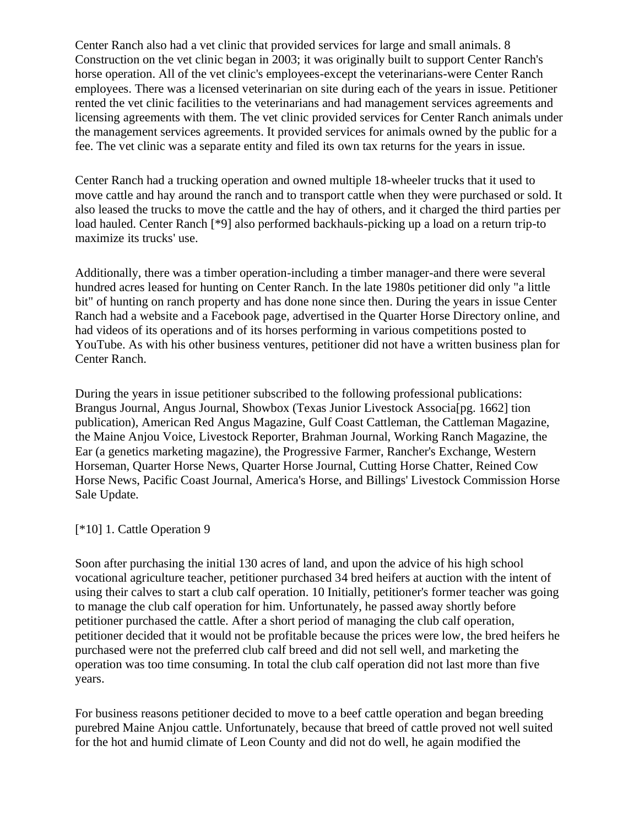Center Ranch also had a vet clinic that provided services for large and small animals. 8 Construction on the vet clinic began in 2003; it was originally built to support Center Ranch's horse operation. All of the vet clinic's employees-except the veterinarians-were Center Ranch employees. There was a licensed veterinarian on site during each of the years in issue. Petitioner rented the vet clinic facilities to the veterinarians and had management services agreements and licensing agreements with them. The vet clinic provided services for Center Ranch animals under the management services agreements. It provided services for animals owned by the public for a fee. The vet clinic was a separate entity and filed its own tax returns for the years in issue.

Center Ranch had a trucking operation and owned multiple 18-wheeler trucks that it used to move cattle and hay around the ranch and to transport cattle when they were purchased or sold. It also leased the trucks to move the cattle and the hay of others, and it charged the third parties per load hauled. Center Ranch [\*9] also performed backhauls-picking up a load on a return trip-to maximize its trucks' use.

Additionally, there was a timber operation-including a timber manager-and there were several hundred acres leased for hunting on Center Ranch. In the late 1980s petitioner did only "a little bit" of hunting on ranch property and has done none since then. During the years in issue Center Ranch had a website and a Facebook page, advertised in the Quarter Horse Directory online, and had videos of its operations and of its horses performing in various competitions posted to YouTube. As with his other business ventures, petitioner did not have a written business plan for Center Ranch.

During the years in issue petitioner subscribed to the following professional publications: Brangus Journal, Angus Journal, Showbox (Texas Junior Livestock Associa[pg. 1662] tion publication), American Red Angus Magazine, Gulf Coast Cattleman, the Cattleman Magazine, the Maine Anjou Voice, Livestock Reporter, Brahman Journal, Working Ranch Magazine, the Ear (a genetics marketing magazine), the Progressive Farmer, Rancher's Exchange, Western Horseman, Quarter Horse News, Quarter Horse Journal, Cutting Horse Chatter, Reined Cow Horse News, Pacific Coast Journal, America's Horse, and Billings' Livestock Commission Horse Sale Update.

#### [\*10] 1. Cattle Operation 9

Soon after purchasing the initial 130 acres of land, and upon the advice of his high school vocational agriculture teacher, petitioner purchased 34 bred heifers at auction with the intent of using their calves to start a club calf operation. 10 Initially, petitioner's former teacher was going to manage the club calf operation for him. Unfortunately, he passed away shortly before petitioner purchased the cattle. After a short period of managing the club calf operation, petitioner decided that it would not be profitable because the prices were low, the bred heifers he purchased were not the preferred club calf breed and did not sell well, and marketing the operation was too time consuming. In total the club calf operation did not last more than five years.

For business reasons petitioner decided to move to a beef cattle operation and began breeding purebred Maine Anjou cattle. Unfortunately, because that breed of cattle proved not well suited for the hot and humid climate of Leon County and did not do well, he again modified the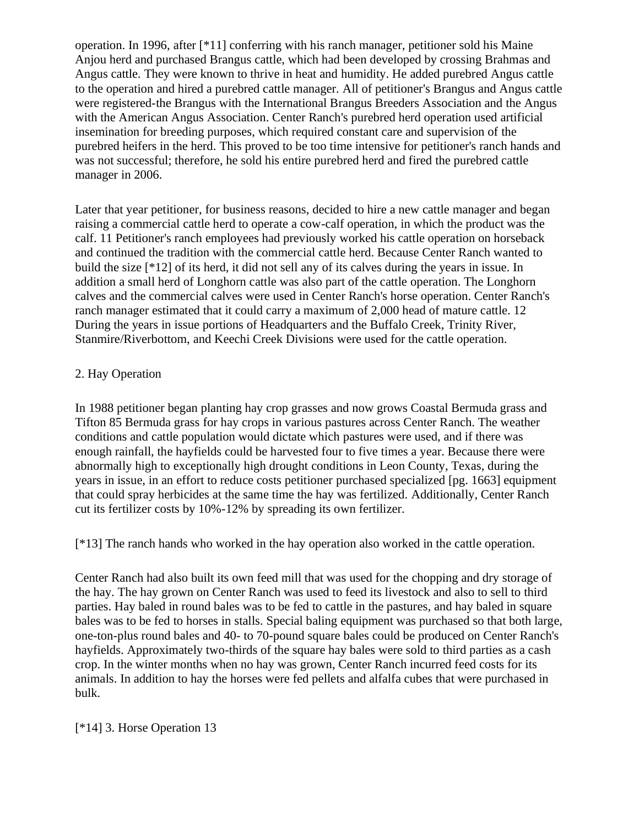operation. In 1996, after [\*11] conferring with his ranch manager, petitioner sold his Maine Anjou herd and purchased Brangus cattle, which had been developed by crossing Brahmas and Angus cattle. They were known to thrive in heat and humidity. He added purebred Angus cattle to the operation and hired a purebred cattle manager. All of petitioner's Brangus and Angus cattle were registered-the Brangus with the International Brangus Breeders Association and the Angus with the American Angus Association. Center Ranch's purebred herd operation used artificial insemination for breeding purposes, which required constant care and supervision of the purebred heifers in the herd. This proved to be too time intensive for petitioner's ranch hands and was not successful; therefore, he sold his entire purebred herd and fired the purebred cattle manager in 2006.

Later that year petitioner, for business reasons, decided to hire a new cattle manager and began raising a commercial cattle herd to operate a cow-calf operation, in which the product was the calf. 11 Petitioner's ranch employees had previously worked his cattle operation on horseback and continued the tradition with the commercial cattle herd. Because Center Ranch wanted to build the size [\*12] of its herd, it did not sell any of its calves during the years in issue. In addition a small herd of Longhorn cattle was also part of the cattle operation. The Longhorn calves and the commercial calves were used in Center Ranch's horse operation. Center Ranch's ranch manager estimated that it could carry a maximum of 2,000 head of mature cattle. 12 During the years in issue portions of Headquarters and the Buffalo Creek, Trinity River, Stanmire/Riverbottom, and Keechi Creek Divisions were used for the cattle operation.

### 2. Hay Operation

In 1988 petitioner began planting hay crop grasses and now grows Coastal Bermuda grass and Tifton 85 Bermuda grass for hay crops in various pastures across Center Ranch. The weather conditions and cattle population would dictate which pastures were used, and if there was enough rainfall, the hayfields could be harvested four to five times a year. Because there were abnormally high to exceptionally high drought conditions in Leon County, Texas, during the years in issue, in an effort to reduce costs petitioner purchased specialized [pg. 1663] equipment that could spray herbicides at the same time the hay was fertilized. Additionally, Center Ranch cut its fertilizer costs by 10%-12% by spreading its own fertilizer.

[\*13] The ranch hands who worked in the hay operation also worked in the cattle operation.

Center Ranch had also built its own feed mill that was used for the chopping and dry storage of the hay. The hay grown on Center Ranch was used to feed its livestock and also to sell to third parties. Hay baled in round bales was to be fed to cattle in the pastures, and hay baled in square bales was to be fed to horses in stalls. Special baling equipment was purchased so that both large, one-ton-plus round bales and 40- to 70-pound square bales could be produced on Center Ranch's hayfields. Approximately two-thirds of the square hay bales were sold to third parties as a cash crop. In the winter months when no hay was grown, Center Ranch incurred feed costs for its animals. In addition to hay the horses were fed pellets and alfalfa cubes that were purchased in bulk.

### [\*14] 3. Horse Operation 13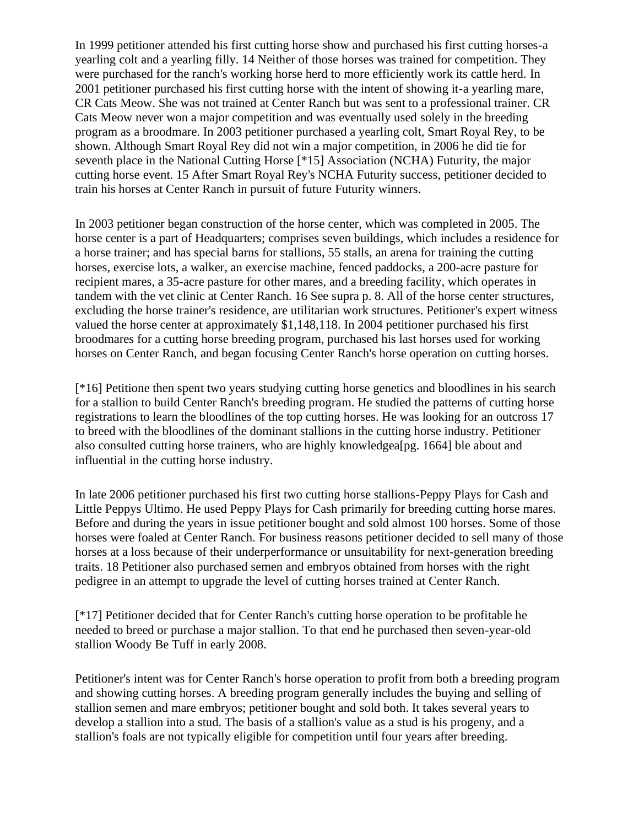In 1999 petitioner attended his first cutting horse show and purchased his first cutting horses-a yearling colt and a yearling filly. 14 Neither of those horses was trained for competition. They were purchased for the ranch's working horse herd to more efficiently work its cattle herd. In 2001 petitioner purchased his first cutting horse with the intent of showing it-a yearling mare, CR Cats Meow. She was not trained at Center Ranch but was sent to a professional trainer. CR Cats Meow never won a major competition and was eventually used solely in the breeding program as a broodmare. In 2003 petitioner purchased a yearling colt, Smart Royal Rey, to be shown. Although Smart Royal Rey did not win a major competition, in 2006 he did tie for seventh place in the National Cutting Horse [\*15] Association (NCHA) Futurity, the major cutting horse event. 15 After Smart Royal Rey's NCHA Futurity success, petitioner decided to train his horses at Center Ranch in pursuit of future Futurity winners.

In 2003 petitioner began construction of the horse center, which was completed in 2005. The horse center is a part of Headquarters; comprises seven buildings, which includes a residence for a horse trainer; and has special barns for stallions, 55 stalls, an arena for training the cutting horses, exercise lots, a walker, an exercise machine, fenced paddocks, a 200-acre pasture for recipient mares, a 35-acre pasture for other mares, and a breeding facility, which operates in tandem with the vet clinic at Center Ranch. 16 See supra p. 8. All of the horse center structures, excluding the horse trainer's residence, are utilitarian work structures. Petitioner's expert witness valued the horse center at approximately \$1,148,118. In 2004 petitioner purchased his first broodmares for a cutting horse breeding program, purchased his last horses used for working horses on Center Ranch, and began focusing Center Ranch's horse operation on cutting horses.

[\*16] Petitione then spent two years studying cutting horse genetics and bloodlines in his search for a stallion to build Center Ranch's breeding program. He studied the patterns of cutting horse registrations to learn the bloodlines of the top cutting horses. He was looking for an outcross 17 to breed with the bloodlines of the dominant stallions in the cutting horse industry. Petitioner also consulted cutting horse trainers, who are highly knowledgea[pg. 1664] ble about and influential in the cutting horse industry.

In late 2006 petitioner purchased his first two cutting horse stallions-Peppy Plays for Cash and Little Peppys Ultimo. He used Peppy Plays for Cash primarily for breeding cutting horse mares. Before and during the years in issue petitioner bought and sold almost 100 horses. Some of those horses were foaled at Center Ranch. For business reasons petitioner decided to sell many of those horses at a loss because of their underperformance or unsuitability for next-generation breeding traits. 18 Petitioner also purchased semen and embryos obtained from horses with the right pedigree in an attempt to upgrade the level of cutting horses trained at Center Ranch.

[\*17] Petitioner decided that for Center Ranch's cutting horse operation to be profitable he needed to breed or purchase a major stallion. To that end he purchased then seven-year-old stallion Woody Be Tuff in early 2008.

Petitioner's intent was for Center Ranch's horse operation to profit from both a breeding program and showing cutting horses. A breeding program generally includes the buying and selling of stallion semen and mare embryos; petitioner bought and sold both. It takes several years to develop a stallion into a stud. The basis of a stallion's value as a stud is his progeny, and a stallion's foals are not typically eligible for competition until four years after breeding.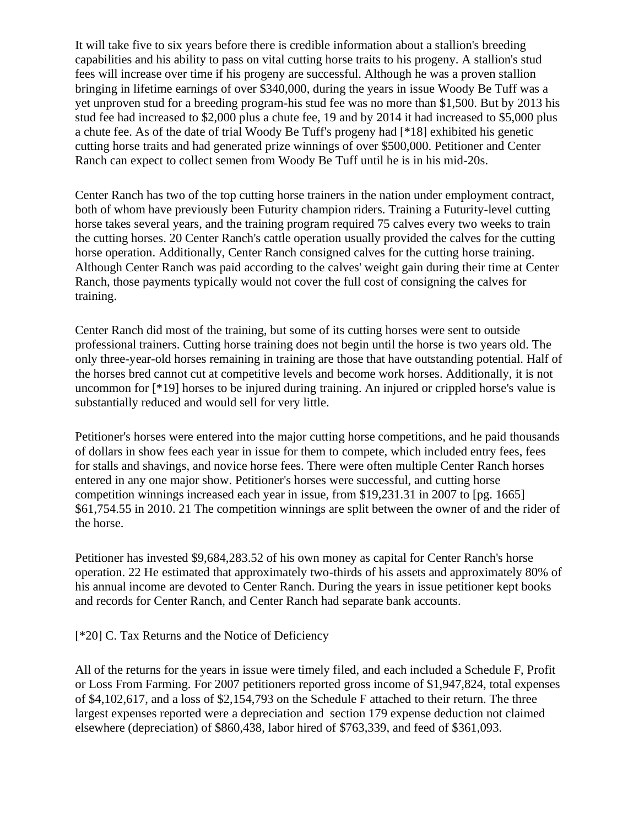It will take five to six years before there is credible information about a stallion's breeding capabilities and his ability to pass on vital cutting horse traits to his progeny. A stallion's stud fees will increase over time if his progeny are successful. Although he was a proven stallion bringing in lifetime earnings of over \$340,000, during the years in issue Woody Be Tuff was a yet unproven stud for a breeding program-his stud fee was no more than \$1,500. But by 2013 his stud fee had increased to \$2,000 plus a chute fee, 19 and by 2014 it had increased to \$5,000 plus a chute fee. As of the date of trial Woody Be Tuff's progeny had [\*18] exhibited his genetic cutting horse traits and had generated prize winnings of over \$500,000. Petitioner and Center Ranch can expect to collect semen from Woody Be Tuff until he is in his mid-20s.

Center Ranch has two of the top cutting horse trainers in the nation under employment contract, both of whom have previously been Futurity champion riders. Training a Futurity-level cutting horse takes several years, and the training program required 75 calves every two weeks to train the cutting horses. 20 Center Ranch's cattle operation usually provided the calves for the cutting horse operation. Additionally, Center Ranch consigned calves for the cutting horse training. Although Center Ranch was paid according to the calves' weight gain during their time at Center Ranch, those payments typically would not cover the full cost of consigning the calves for training.

Center Ranch did most of the training, but some of its cutting horses were sent to outside professional trainers. Cutting horse training does not begin until the horse is two years old. The only three-year-old horses remaining in training are those that have outstanding potential. Half of the horses bred cannot cut at competitive levels and become work horses. Additionally, it is not uncommon for [\*19] horses to be injured during training. An injured or crippled horse's value is substantially reduced and would sell for very little.

Petitioner's horses were entered into the major cutting horse competitions, and he paid thousands of dollars in show fees each year in issue for them to compete, which included entry fees, fees for stalls and shavings, and novice horse fees. There were often multiple Center Ranch horses entered in any one major show. Petitioner's horses were successful, and cutting horse competition winnings increased each year in issue, from \$19,231.31 in 2007 to [pg. 1665] \$61,754.55 in 2010. 21 The competition winnings are split between the owner of and the rider of the horse.

Petitioner has invested \$9,684,283.52 of his own money as capital for Center Ranch's horse operation. 22 He estimated that approximately two-thirds of his assets and approximately 80% of his annual income are devoted to Center Ranch. During the years in issue petitioner kept books and records for Center Ranch, and Center Ranch had separate bank accounts.

[\*20] C. Tax Returns and the Notice of Deficiency

All of the returns for the years in issue were timely filed, and each included a Schedule F, Profit or Loss From Farming. For 2007 petitioners reported gross income of \$1,947,824, total expenses of \$4,102,617, and a loss of \$2,154,793 on the Schedule F attached to their return. The three largest expenses reported were a depreciation and section 179 expense deduction not claimed elsewhere (depreciation) of \$860,438, labor hired of \$763,339, and feed of \$361,093.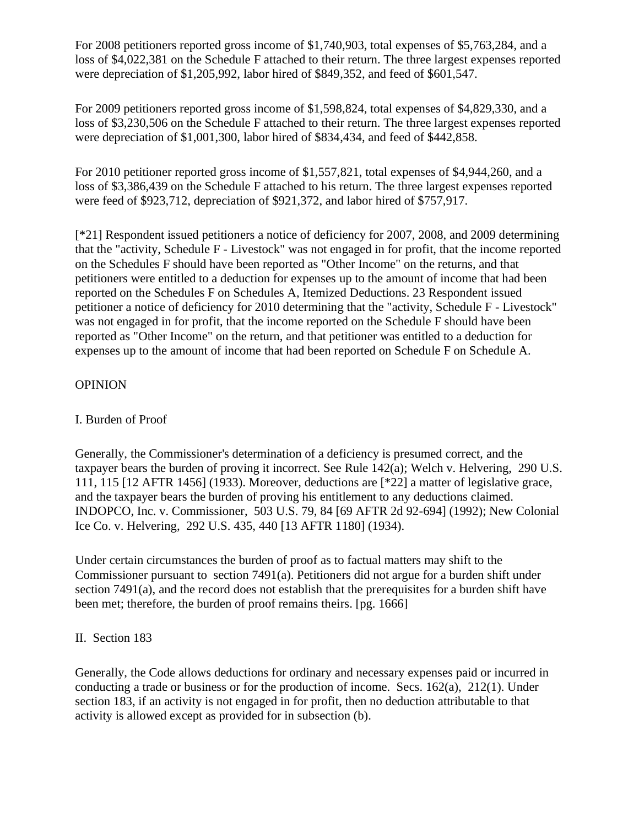For 2008 petitioners reported gross income of \$1,740,903, total expenses of \$5,763,284, and a loss of \$4,022,381 on the Schedule F attached to their return. The three largest expenses reported were depreciation of \$1,205,992, labor hired of \$849,352, and feed of \$601,547.

For 2009 petitioners reported gross income of \$1,598,824, total expenses of \$4,829,330, and a loss of \$3,230,506 on the Schedule F attached to their return. The three largest expenses reported were depreciation of \$1,001,300, labor hired of \$834,434, and feed of \$442,858.

For 2010 petitioner reported gross income of \$1,557,821, total expenses of \$4,944,260, and a loss of \$3,386,439 on the Schedule F attached to his return. The three largest expenses reported were feed of \$923,712, depreciation of \$921,372, and labor hired of \$757,917.

[\*21] Respondent issued petitioners a notice of deficiency for 2007, 2008, and 2009 determining that the "activity, Schedule F - Livestock" was not engaged in for profit, that the income reported on the Schedules F should have been reported as "Other Income" on the returns, and that petitioners were entitled to a deduction for expenses up to the amount of income that had been reported on the Schedules F on Schedules A, Itemized Deductions. 23 Respondent issued petitioner a notice of deficiency for 2010 determining that the "activity, Schedule F - Livestock" was not engaged in for profit, that the income reported on the Schedule F should have been reported as "Other Income" on the return, and that petitioner was entitled to a deduction for expenses up to the amount of income that had been reported on Schedule F on Schedule A.

### **OPINION**

## I. Burden of Proof

Generally, the Commissioner's determination of a deficiency is presumed correct, and the taxpayer bears the burden of proving it incorrect. See Rule 142(a); Welch v. Helvering, 290 U.S. 111, 115 [12 AFTR 1456] (1933). Moreover, deductions are [\*22] a matter of legislative grace, and the taxpayer bears the burden of proving his entitlement to any deductions claimed. INDOPCO, Inc. v. Commissioner, 503 U.S. 79, 84 [69 AFTR 2d 92-694] (1992); New Colonial Ice Co. v. Helvering, 292 U.S. 435, 440 [13 AFTR 1180] (1934).

Under certain circumstances the burden of proof as to factual matters may shift to the Commissioner pursuant to section 7491(a). Petitioners did not argue for a burden shift under section 7491(a), and the record does not establish that the prerequisites for a burden shift have been met; therefore, the burden of proof remains theirs. [pg. 1666]

### II. Section 183

Generally, the Code allows deductions for ordinary and necessary expenses paid or incurred in conducting a trade or business or for the production of income. Secs. 162(a), 212(1). Under section 183, if an activity is not engaged in for profit, then no deduction attributable to that activity is allowed except as provided for in subsection (b).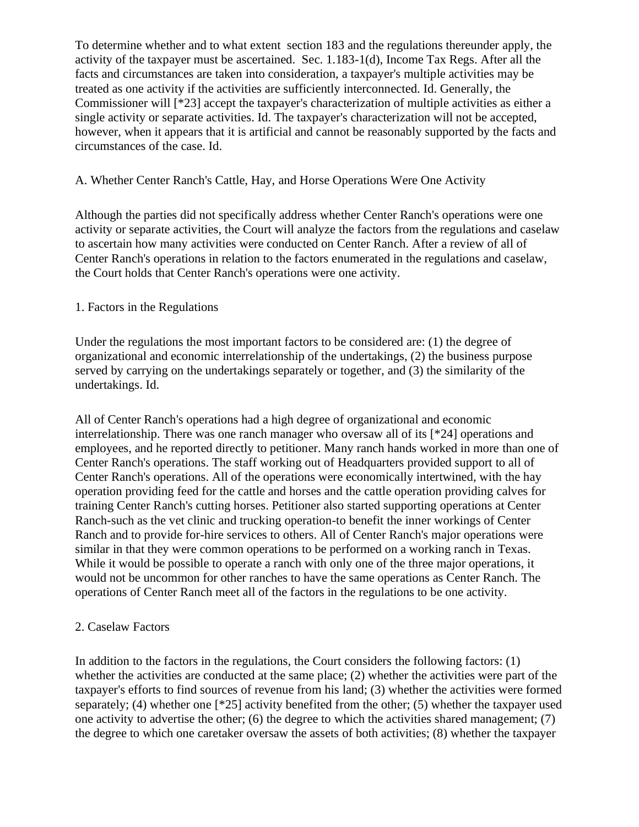To determine whether and to what extent section 183 and the regulations thereunder apply, the activity of the taxpayer must be ascertained. Sec. 1.183-1(d), Income Tax Regs. After all the facts and circumstances are taken into consideration, a taxpayer's multiple activities may be treated as one activity if the activities are sufficiently interconnected. Id. Generally, the Commissioner will [\*23] accept the taxpayer's characterization of multiple activities as either a single activity or separate activities. Id. The taxpayer's characterization will not be accepted, however, when it appears that it is artificial and cannot be reasonably supported by the facts and circumstances of the case. Id.

#### A. Whether Center Ranch's Cattle, Hay, and Horse Operations Were One Activity

Although the parties did not specifically address whether Center Ranch's operations were one activity or separate activities, the Court will analyze the factors from the regulations and caselaw to ascertain how many activities were conducted on Center Ranch. After a review of all of Center Ranch's operations in relation to the factors enumerated in the regulations and caselaw, the Court holds that Center Ranch's operations were one activity.

### 1. Factors in the Regulations

Under the regulations the most important factors to be considered are: (1) the degree of organizational and economic interrelationship of the undertakings, (2) the business purpose served by carrying on the undertakings separately or together, and (3) the similarity of the undertakings. Id.

All of Center Ranch's operations had a high degree of organizational and economic interrelationship. There was one ranch manager who oversaw all of its [\*24] operations and employees, and he reported directly to petitioner. Many ranch hands worked in more than one of Center Ranch's operations. The staff working out of Headquarters provided support to all of Center Ranch's operations. All of the operations were economically intertwined, with the hay operation providing feed for the cattle and horses and the cattle operation providing calves for training Center Ranch's cutting horses. Petitioner also started supporting operations at Center Ranch-such as the vet clinic and trucking operation-to benefit the inner workings of Center Ranch and to provide for-hire services to others. All of Center Ranch's major operations were similar in that they were common operations to be performed on a working ranch in Texas. While it would be possible to operate a ranch with only one of the three major operations, it would not be uncommon for other ranches to have the same operations as Center Ranch. The operations of Center Ranch meet all of the factors in the regulations to be one activity.

#### 2. Caselaw Factors

In addition to the factors in the regulations, the Court considers the following factors: (1) whether the activities are conducted at the same place; (2) whether the activities were part of the taxpayer's efforts to find sources of revenue from his land; (3) whether the activities were formed separately; (4) whether one [\*25] activity benefited from the other; (5) whether the taxpayer used one activity to advertise the other; (6) the degree to which the activities shared management; (7) the degree to which one caretaker oversaw the assets of both activities; (8) whether the taxpayer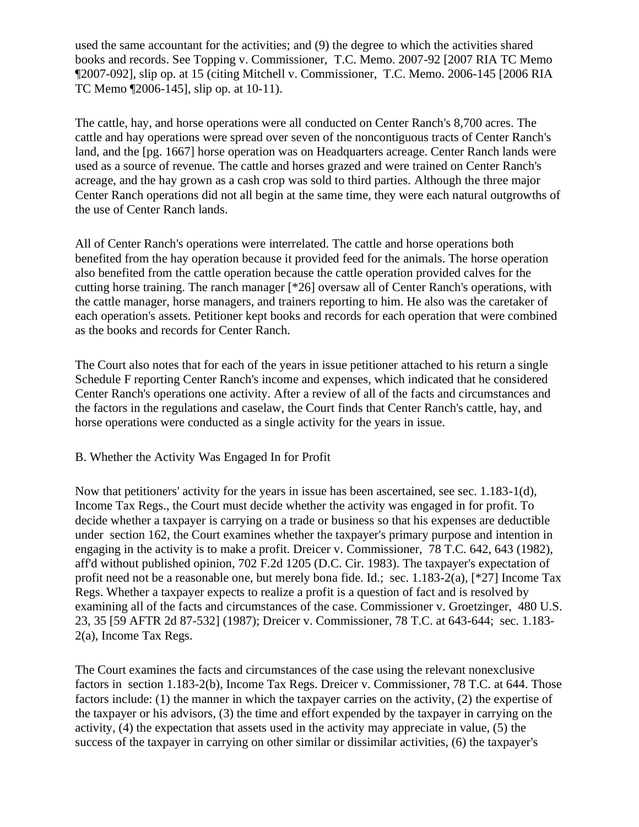used the same accountant for the activities; and (9) the degree to which the activities shared books and records. See Topping v. Commissioner, T.C. Memo. 2007-92 [2007 RIA TC Memo ¶2007-092], slip op. at 15 (citing Mitchell v. Commissioner, T.C. Memo. 2006-145 [2006 RIA TC Memo ¶2006-145], slip op. at 10-11).

The cattle, hay, and horse operations were all conducted on Center Ranch's 8,700 acres. The cattle and hay operations were spread over seven of the noncontiguous tracts of Center Ranch's land, and the [pg. 1667] horse operation was on Headquarters acreage. Center Ranch lands were used as a source of revenue. The cattle and horses grazed and were trained on Center Ranch's acreage, and the hay grown as a cash crop was sold to third parties. Although the three major Center Ranch operations did not all begin at the same time, they were each natural outgrowths of the use of Center Ranch lands.

All of Center Ranch's operations were interrelated. The cattle and horse operations both benefited from the hay operation because it provided feed for the animals. The horse operation also benefited from the cattle operation because the cattle operation provided calves for the cutting horse training. The ranch manager [\*26] oversaw all of Center Ranch's operations, with the cattle manager, horse managers, and trainers reporting to him. He also was the caretaker of each operation's assets. Petitioner kept books and records for each operation that were combined as the books and records for Center Ranch.

The Court also notes that for each of the years in issue petitioner attached to his return a single Schedule F reporting Center Ranch's income and expenses, which indicated that he considered Center Ranch's operations one activity. After a review of all of the facts and circumstances and the factors in the regulations and caselaw, the Court finds that Center Ranch's cattle, hay, and horse operations were conducted as a single activity for the years in issue.

### B. Whether the Activity Was Engaged In for Profit

Now that petitioners' activity for the years in issue has been ascertained, see sec. 1.183-1(d), Income Tax Regs., the Court must decide whether the activity was engaged in for profit. To decide whether a taxpayer is carrying on a trade or business so that his expenses are deductible under section 162, the Court examines whether the taxpayer's primary purpose and intention in engaging in the activity is to make a profit. Dreicer v. Commissioner, 78 T.C. 642, 643 (1982), aff'd without published opinion, 702 F.2d 1205 (D.C. Cir. 1983). The taxpayer's expectation of profit need not be a reasonable one, but merely bona fide. Id.; sec. 1.183-2(a), [\*27] Income Tax Regs. Whether a taxpayer expects to realize a profit is a question of fact and is resolved by examining all of the facts and circumstances of the case. Commissioner v. Groetzinger, 480 U.S. 23, 35 [59 AFTR 2d 87-532] (1987); Dreicer v. Commissioner, 78 T.C. at 643-644; sec. 1.183- 2(a), Income Tax Regs.

The Court examines the facts and circumstances of the case using the relevant nonexclusive factors in section 1.183-2(b), Income Tax Regs. Dreicer v. Commissioner, 78 T.C. at 644. Those factors include: (1) the manner in which the taxpayer carries on the activity, (2) the expertise of the taxpayer or his advisors, (3) the time and effort expended by the taxpayer in carrying on the activity, (4) the expectation that assets used in the activity may appreciate in value, (5) the success of the taxpayer in carrying on other similar or dissimilar activities, (6) the taxpayer's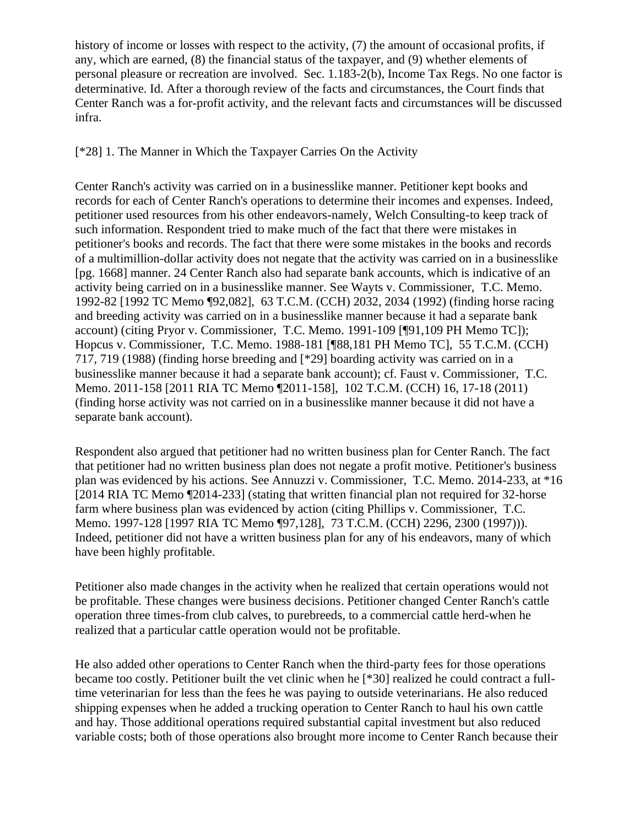history of income or losses with respect to the activity, (7) the amount of occasional profits, if any, which are earned, (8) the financial status of the taxpayer, and (9) whether elements of personal pleasure or recreation are involved. Sec. 1.183-2(b), Income Tax Regs. No one factor is determinative. Id. After a thorough review of the facts and circumstances, the Court finds that Center Ranch was a for-profit activity, and the relevant facts and circumstances will be discussed infra.

### [\*28] 1. The Manner in Which the Taxpayer Carries On the Activity

Center Ranch's activity was carried on in a businesslike manner. Petitioner kept books and records for each of Center Ranch's operations to determine their incomes and expenses. Indeed, petitioner used resources from his other endeavors-namely, Welch Consulting-to keep track of such information. Respondent tried to make much of the fact that there were mistakes in petitioner's books and records. The fact that there were some mistakes in the books and records of a multimillion-dollar activity does not negate that the activity was carried on in a businesslike [pg. 1668] manner. 24 Center Ranch also had separate bank accounts, which is indicative of an activity being carried on in a businesslike manner. See Wayts v. Commissioner, T.C. Memo. 1992-82 [1992 TC Memo ¶92,082], 63 T.C.M. (CCH) 2032, 2034 (1992) (finding horse racing and breeding activity was carried on in a businesslike manner because it had a separate bank account) (citing Pryor v. Commissioner, T.C. Memo. 1991-109 [¶91,109 PH Memo TC]); Hopcus v. Commissioner, T.C. Memo. 1988-181 [¶88,181 PH Memo TC], 55 T.C.M. (CCH) 717, 719 (1988) (finding horse breeding and [\*29] boarding activity was carried on in a businesslike manner because it had a separate bank account); cf. Faust v. Commissioner, T.C. Memo. 2011-158 [2011 RIA TC Memo ¶2011-158], 102 T.C.M. (CCH) 16, 17-18 (2011) (finding horse activity was not carried on in a businesslike manner because it did not have a separate bank account).

Respondent also argued that petitioner had no written business plan for Center Ranch. The fact that petitioner had no written business plan does not negate a profit motive. Petitioner's business plan was evidenced by his actions. See Annuzzi v. Commissioner, T.C. Memo. 2014-233, at \*16 [2014 RIA TC Memo ¶2014-233] (stating that written financial plan not required for 32-horse farm where business plan was evidenced by action (citing Phillips v. Commissioner, T.C. Memo. 1997-128 [1997 RIA TC Memo ¶97,128], 73 T.C.M. (CCH) 2296, 2300 (1997))). Indeed, petitioner did not have a written business plan for any of his endeavors, many of which have been highly profitable.

Petitioner also made changes in the activity when he realized that certain operations would not be profitable. These changes were business decisions. Petitioner changed Center Ranch's cattle operation three times-from club calves, to purebreeds, to a commercial cattle herd-when he realized that a particular cattle operation would not be profitable.

He also added other operations to Center Ranch when the third-party fees for those operations became too costly. Petitioner built the vet clinic when he [\*30] realized he could contract a fulltime veterinarian for less than the fees he was paying to outside veterinarians. He also reduced shipping expenses when he added a trucking operation to Center Ranch to haul his own cattle and hay. Those additional operations required substantial capital investment but also reduced variable costs; both of those operations also brought more income to Center Ranch because their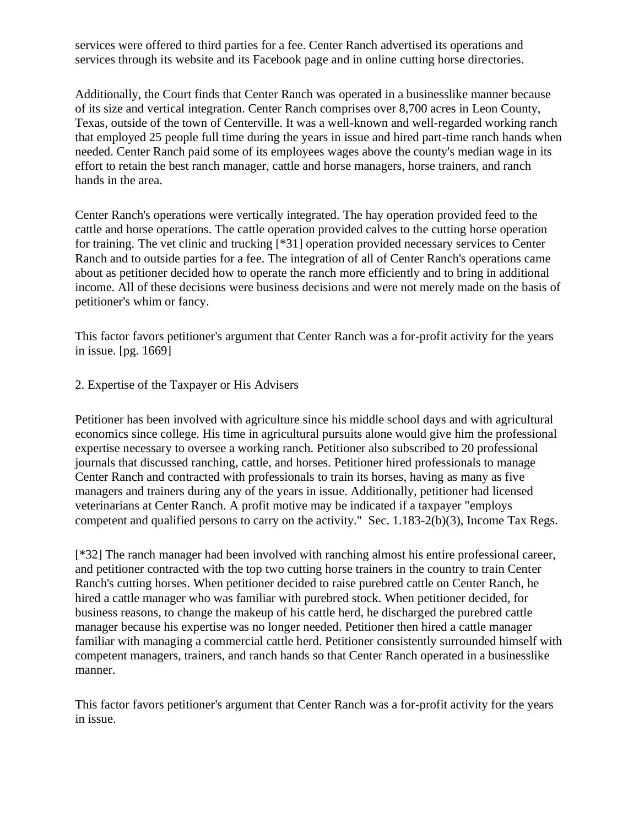services were offered to third parties for a fee. Center Ranch advertised its operations and services through its website and its Facebook page and in online cutting horse directories.

Additionally, the Court finds that Center Ranch was operated in a businesslike manner because of its size and vertical integration. Center Ranch comprises over 8,700 acres in Leon County, Texas, outside of the town of Centerville. It was a well-known and well-regarded working ranch that employed 25 people full time during the years in issue and hired part-time ranch hands when needed. Center Ranch paid some of its employees wages above the county's median wage in its effort to retain the best ranch manager, cattle and horse managers, horse trainers, and ranch hands in the area.

Center Ranch's operations were vertically integrated. The hay operation provided feed to the cattle and horse operations. The cattle operation provided calves to the cutting horse operation for training. The vet clinic and trucking [\*31] operation provided necessary services to Center Ranch and to outside parties for a fee. The integration of all of Center Ranch's operations came about as petitioner decided how to operate the ranch more efficiently and to bring in additional income. All of these decisions were business decisions and were not merely made on the basis of petitioner's whim or fancy.

This factor favors petitioner's argument that Center Ranch was a for-profit activity for the years in issue. [pg. 1669]

#### 2. Expertise of the Taxpayer or His Advisers

Petitioner has been involved with agriculture since his middle school days and with agricultural economics since college. His time in agricultural pursuits alone would give him the professional expertise necessary to oversee a working ranch. Petitioner also subscribed to 20 professional journals that discussed ranching, cattle, and horses. Petitioner hired professionals to manage Center Ranch and contracted with professionals to train its horses, having as many as five managers and trainers during any of the years in issue. Additionally, petitioner had licensed veterinarians at Center Ranch. A profit motive may be indicated if a taxpayer "employs competent and qualified persons to carry on the activity." Sec. 1.183-2(b)(3), Income Tax Regs.

[\*32] The ranch manager had been involved with ranching almost his entire professional career, and petitioner contracted with the top two cutting horse trainers in the country to train Center Ranch's cutting horses. When petitioner decided to raise purebred cattle on Center Ranch, he hired a cattle manager who was familiar with purebred stock. When petitioner decided, for business reasons, to change the makeup of his cattle herd, he discharged the purebred cattle manager because his expertise was no longer needed. Petitioner then hired a cattle manager familiar with managing a commercial cattle herd. Petitioner consistently surrounded himself with competent managers, trainers, and ranch hands so that Center Ranch operated in a businesslike manner.

This factor favors petitioner's argument that Center Ranch was a for-profit activity for the years in issue.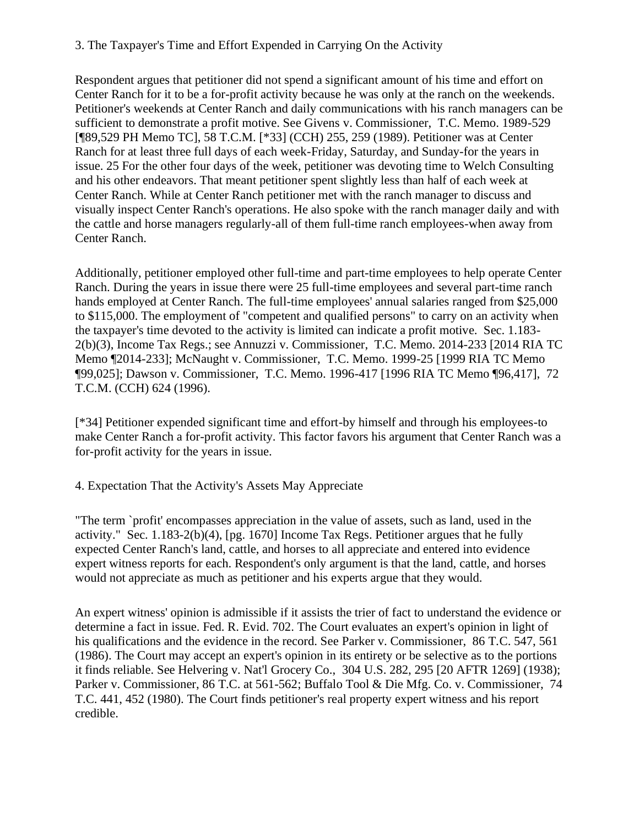### 3. The Taxpayer's Time and Effort Expended in Carrying On the Activity

Respondent argues that petitioner did not spend a significant amount of his time and effort on Center Ranch for it to be a for-profit activity because he was only at the ranch on the weekends. Petitioner's weekends at Center Ranch and daily communications with his ranch managers can be sufficient to demonstrate a profit motive. See Givens v. Commissioner, T.C. Memo. 1989-529 [¶89,529 PH Memo TC], 58 T.C.M. [\*33] (CCH) 255, 259 (1989). Petitioner was at Center Ranch for at least three full days of each week-Friday, Saturday, and Sunday-for the years in issue. 25 For the other four days of the week, petitioner was devoting time to Welch Consulting and his other endeavors. That meant petitioner spent slightly less than half of each week at Center Ranch. While at Center Ranch petitioner met with the ranch manager to discuss and visually inspect Center Ranch's operations. He also spoke with the ranch manager daily and with the cattle and horse managers regularly-all of them full-time ranch employees-when away from Center Ranch.

Additionally, petitioner employed other full-time and part-time employees to help operate Center Ranch. During the years in issue there were 25 full-time employees and several part-time ranch hands employed at Center Ranch. The full-time employees' annual salaries ranged from \$25,000 to \$115,000. The employment of "competent and qualified persons" to carry on an activity when the taxpayer's time devoted to the activity is limited can indicate a profit motive. Sec. 1.183- 2(b)(3), Income Tax Regs.; see Annuzzi v. Commissioner, T.C. Memo. 2014-233 [2014 RIA TC Memo ¶2014-233]; McNaught v. Commissioner, T.C. Memo. 1999-25 [1999 RIA TC Memo ¶99,025]; Dawson v. Commissioner, T.C. Memo. 1996-417 [1996 RIA TC Memo ¶96,417], 72 T.C.M. (CCH) 624 (1996).

[\*34] Petitioner expended significant time and effort-by himself and through his employees-to make Center Ranch a for-profit activity. This factor favors his argument that Center Ranch was a for-profit activity for the years in issue.

### 4. Expectation That the Activity's Assets May Appreciate

"The term `profit' encompasses appreciation in the value of assets, such as land, used in the activity." Sec. 1.183-2(b)(4), [pg. 1670] Income Tax Regs. Petitioner argues that he fully expected Center Ranch's land, cattle, and horses to all appreciate and entered into evidence expert witness reports for each. Respondent's only argument is that the land, cattle, and horses would not appreciate as much as petitioner and his experts argue that they would.

An expert witness' opinion is admissible if it assists the trier of fact to understand the evidence or determine a fact in issue. Fed. R. Evid. 702. The Court evaluates an expert's opinion in light of his qualifications and the evidence in the record. See Parker v. Commissioner, 86 T.C. 547, 561 (1986). The Court may accept an expert's opinion in its entirety or be selective as to the portions it finds reliable. See Helvering v. Nat'l Grocery Co., 304 U.S. 282, 295 [20 AFTR 1269] (1938); Parker v. Commissioner, 86 T.C. at 561-562; Buffalo Tool & Die Mfg. Co. v. Commissioner, 74 T.C. 441, 452 (1980). The Court finds petitioner's real property expert witness and his report credible.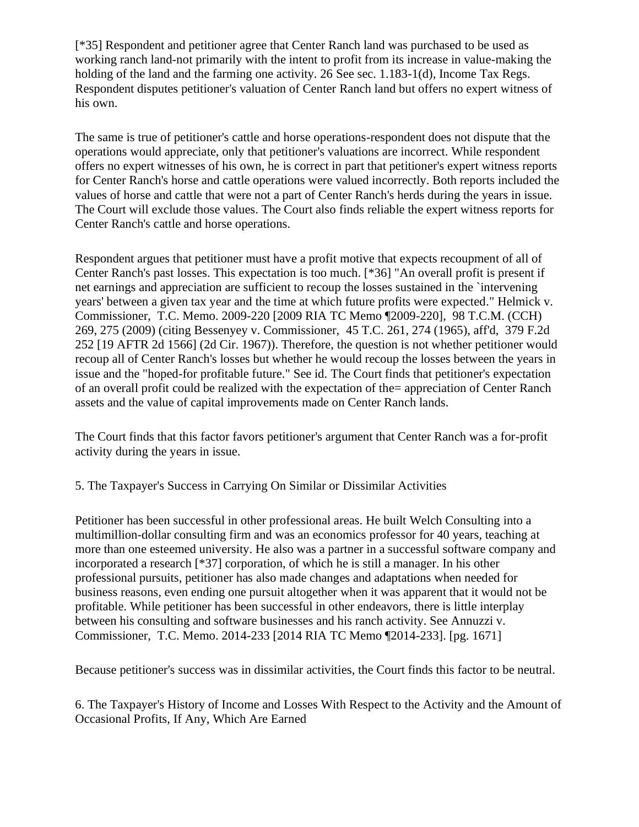[\*35] Respondent and petitioner agree that Center Ranch land was purchased to be used as working ranch land-not primarily with the intent to profit from its increase in value-making the holding of the land and the farming one activity. 26 See sec. 1.183-1(d), Income Tax Regs. Respondent disputes petitioner's valuation of Center Ranch land but offers no expert witness of his own.

The same is true of petitioner's cattle and horse operations-respondent does not dispute that the operations would appreciate, only that petitioner's valuations are incorrect. While respondent offers no expert witnesses of his own, he is correct in part that petitioner's expert witness reports for Center Ranch's horse and cattle operations were valued incorrectly. Both reports included the values of horse and cattle that were not a part of Center Ranch's herds during the years in issue. The Court will exclude those values. The Court also finds reliable the expert witness reports for Center Ranch's cattle and horse operations.

Respondent argues that petitioner must have a profit motive that expects recoupment of all of Center Ranch's past losses. This expectation is too much. [\*36] "An overall profit is present if net earnings and appreciation are sufficient to recoup the losses sustained in the `intervening years' between a given tax year and the time at which future profits were expected." Helmick v. Commissioner, T.C. Memo. 2009-220 [2009 RIA TC Memo ¶2009-220], 98 T.C.M. (CCH) 269, 275 (2009) (citing Bessenyey v. Commissioner, 45 T.C. 261, 274 (1965), aff'd, 379 F.2d 252 [19 AFTR 2d 1566] (2d Cir. 1967)). Therefore, the question is not whether petitioner would recoup all of Center Ranch's losses but whether he would recoup the losses between the years in issue and the "hoped-for profitable future." See id. The Court finds that petitioner's expectation of an overall profit could be realized with the expectation of the= appreciation of Center Ranch assets and the value of capital improvements made on Center Ranch lands.

The Court finds that this factor favors petitioner's argument that Center Ranch was a for-profit activity during the years in issue.

### 5. The Taxpayer's Success in Carrying On Similar or Dissimilar Activities

Petitioner has been successful in other professional areas. He built Welch Consulting into a multimillion-dollar consulting firm and was an economics professor for 40 years, teaching at more than one esteemed university. He also was a partner in a successful software company and incorporated a research [\*37] corporation, of which he is still a manager. In his other professional pursuits, petitioner has also made changes and adaptations when needed for business reasons, even ending one pursuit altogether when it was apparent that it would not be profitable. While petitioner has been successful in other endeavors, there is little interplay between his consulting and software businesses and his ranch activity. See Annuzzi v. Commissioner, T.C. Memo. 2014-233 [2014 RIA TC Memo ¶2014-233]. [pg. 1671]

Because petitioner's success was in dissimilar activities, the Court finds this factor to be neutral.

6. The Taxpayer's History of Income and Losses With Respect to the Activity and the Amount of Occasional Profits, If Any, Which Are Earned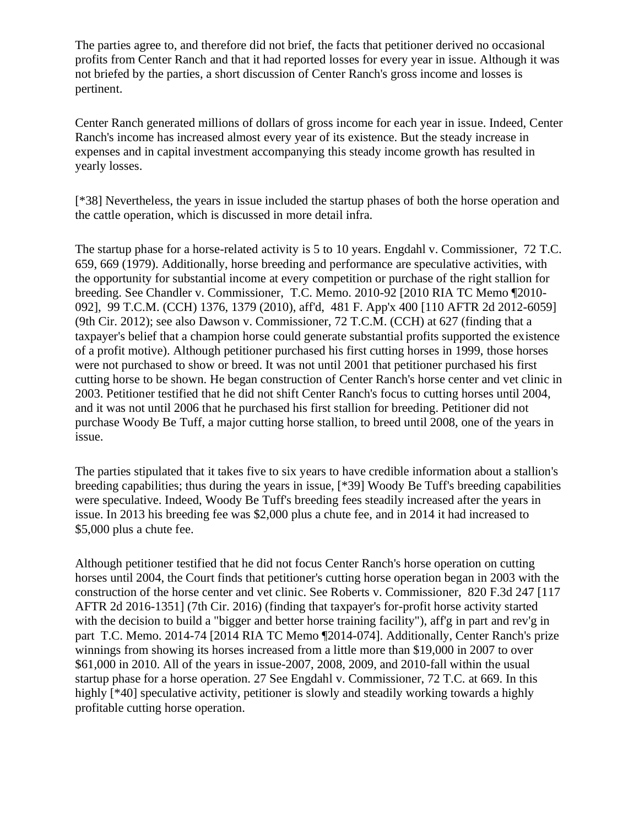The parties agree to, and therefore did not brief, the facts that petitioner derived no occasional profits from Center Ranch and that it had reported losses for every year in issue. Although it was not briefed by the parties, a short discussion of Center Ranch's gross income and losses is pertinent.

Center Ranch generated millions of dollars of gross income for each year in issue. Indeed, Center Ranch's income has increased almost every year of its existence. But the steady increase in expenses and in capital investment accompanying this steady income growth has resulted in yearly losses.

[\*38] Nevertheless, the years in issue included the startup phases of both the horse operation and the cattle operation, which is discussed in more detail infra.

The startup phase for a horse-related activity is 5 to 10 years. Engdahl v. Commissioner, 72 T.C. 659, 669 (1979). Additionally, horse breeding and performance are speculative activities, with the opportunity for substantial income at every competition or purchase of the right stallion for breeding. See Chandler v. Commissioner, T.C. Memo. 2010-92 [2010 RIA TC Memo ¶2010- 092], 99 T.C.M. (CCH) 1376, 1379 (2010), aff'd, 481 F. App'x 400 [110 AFTR 2d 2012-6059] (9th Cir. 2012); see also Dawson v. Commissioner, 72 T.C.M. (CCH) at 627 (finding that a taxpayer's belief that a champion horse could generate substantial profits supported the existence of a profit motive). Although petitioner purchased his first cutting horses in 1999, those horses were not purchased to show or breed. It was not until 2001 that petitioner purchased his first cutting horse to be shown. He began construction of Center Ranch's horse center and vet clinic in 2003. Petitioner testified that he did not shift Center Ranch's focus to cutting horses until 2004, and it was not until 2006 that he purchased his first stallion for breeding. Petitioner did not purchase Woody Be Tuff, a major cutting horse stallion, to breed until 2008, one of the years in issue.

The parties stipulated that it takes five to six years to have credible information about a stallion's breeding capabilities; thus during the years in issue, [\*39] Woody Be Tuff's breeding capabilities were speculative. Indeed, Woody Be Tuff's breeding fees steadily increased after the years in issue. In 2013 his breeding fee was \$2,000 plus a chute fee, and in 2014 it had increased to \$5,000 plus a chute fee.

Although petitioner testified that he did not focus Center Ranch's horse operation on cutting horses until 2004, the Court finds that petitioner's cutting horse operation began in 2003 with the construction of the horse center and vet clinic. See Roberts v. Commissioner, 820 F.3d 247 [117 AFTR 2d 2016-1351] (7th Cir. 2016) (finding that taxpayer's for-profit horse activity started with the decision to build a "bigger and better horse training facility"), aff'g in part and rev'g in part T.C. Memo. 2014-74 [2014 RIA TC Memo ¶2014-074]. Additionally, Center Ranch's prize winnings from showing its horses increased from a little more than \$19,000 in 2007 to over \$61,000 in 2010. All of the years in issue-2007, 2008, 2009, and 2010-fall within the usual startup phase for a horse operation. 27 See Engdahl v. Commissioner, 72 T.C. at 669. In this highly [<sup>\*40]</sup> speculative activity, petitioner is slowly and steadily working towards a highly profitable cutting horse operation.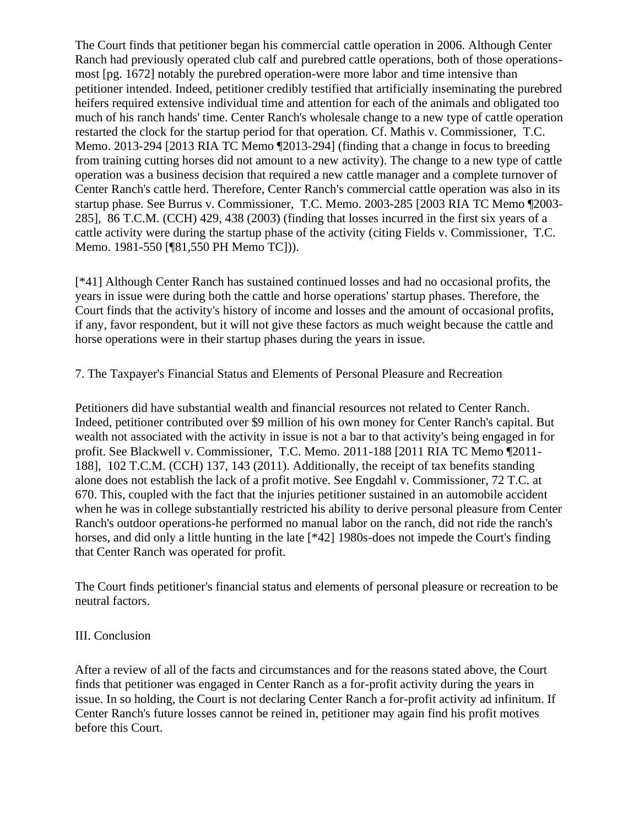The Court finds that petitioner began his commercial cattle operation in 2006. Although Center Ranch had previously operated club calf and purebred cattle operations, both of those operationsmost [pg. 1672] notably the purebred operation-were more labor and time intensive than petitioner intended. Indeed, petitioner credibly testified that artificially inseminating the purebred heifers required extensive individual time and attention for each of the animals and obligated too much of his ranch hands' time. Center Ranch's wholesale change to a new type of cattle operation restarted the clock for the startup period for that operation. Cf. Mathis v. Commissioner, T.C. Memo. 2013-294 [2013 RIA TC Memo ¶2013-294] (finding that a change in focus to breeding from training cutting horses did not amount to a new activity). The change to a new type of cattle operation was a business decision that required a new cattle manager and a complete turnover of Center Ranch's cattle herd. Therefore, Center Ranch's commercial cattle operation was also in its startup phase. See Burrus v. Commissioner, T.C. Memo. 2003-285 [2003 RIA TC Memo ¶2003- 285], 86 T.C.M. (CCH) 429, 438 (2003) (finding that losses incurred in the first six years of a cattle activity were during the startup phase of the activity (citing Fields v. Commissioner, T.C. Memo. 1981-550 [¶81,550 PH Memo TC])).

[\*41] Although Center Ranch has sustained continued losses and had no occasional profits, the years in issue were during both the cattle and horse operations' startup phases. Therefore, the Court finds that the activity's history of income and losses and the amount of occasional profits, if any, favor respondent, but it will not give these factors as much weight because the cattle and horse operations were in their startup phases during the years in issue.

7. The Taxpayer's Financial Status and Elements of Personal Pleasure and Recreation

Petitioners did have substantial wealth and financial resources not related to Center Ranch. Indeed, petitioner contributed over \$9 million of his own money for Center Ranch's capital. But wealth not associated with the activity in issue is not a bar to that activity's being engaged in for profit. See Blackwell v. Commissioner, T.C. Memo. 2011-188 [2011 RIA TC Memo ¶2011- 188], 102 T.C.M. (CCH) 137, 143 (2011). Additionally, the receipt of tax benefits standing alone does not establish the lack of a profit motive. See Engdahl v. Commissioner, 72 T.C. at 670. This, coupled with the fact that the injuries petitioner sustained in an automobile accident when he was in college substantially restricted his ability to derive personal pleasure from Center Ranch's outdoor operations-he performed no manual labor on the ranch, did not ride the ranch's horses, and did only a little hunting in the late [\*42] 1980s-does not impede the Court's finding that Center Ranch was operated for profit.

The Court finds petitioner's financial status and elements of personal pleasure or recreation to be neutral factors.

#### III. Conclusion

After a review of all of the facts and circumstances and for the reasons stated above, the Court finds that petitioner was engaged in Center Ranch as a for-profit activity during the years in issue. In so holding, the Court is not declaring Center Ranch a for-profit activity ad infinitum. If Center Ranch's future losses cannot be reined in, petitioner may again find his profit motives before this Court.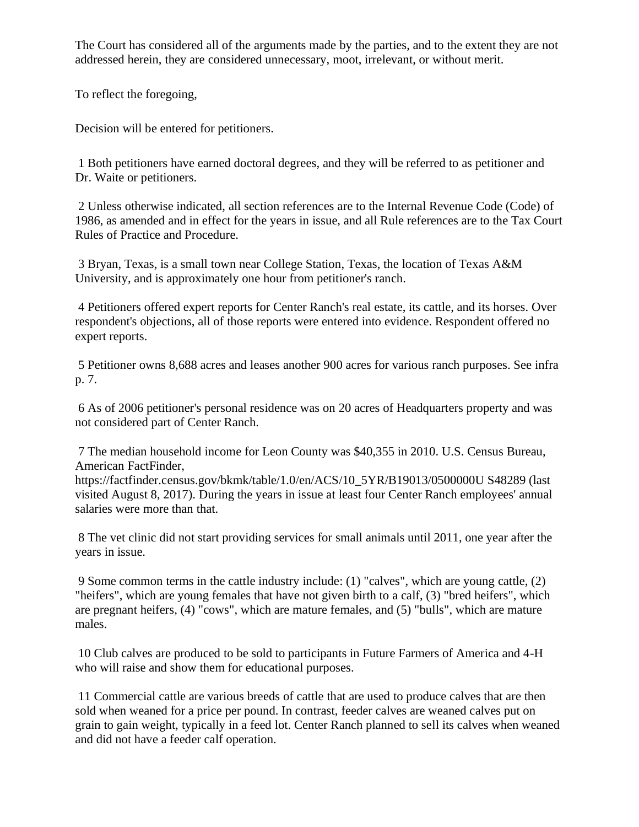The Court has considered all of the arguments made by the parties, and to the extent they are not addressed herein, they are considered unnecessary, moot, irrelevant, or without merit.

To reflect the foregoing,

Decision will be entered for petitioners.

1 Both petitioners have earned doctoral degrees, and they will be referred to as petitioner and Dr. Waite or petitioners.

2 Unless otherwise indicated, all section references are to the Internal Revenue Code (Code) of 1986, as amended and in effect for the years in issue, and all Rule references are to the Tax Court Rules of Practice and Procedure.

3 Bryan, Texas, is a small town near College Station, Texas, the location of Texas A&M University, and is approximately one hour from petitioner's ranch.

4 Petitioners offered expert reports for Center Ranch's real estate, its cattle, and its horses. Over respondent's objections, all of those reports were entered into evidence. Respondent offered no expert reports.

5 Petitioner owns 8,688 acres and leases another 900 acres for various ranch purposes. See infra p. 7.

6 As of 2006 petitioner's personal residence was on 20 acres of Headquarters property and was not considered part of Center Ranch.

7 The median household income for Leon County was \$40,355 in 2010. U.S. Census Bureau, American FactFinder,

https://factfinder.census.gov/bkmk/table/1.0/en/ACS/10\_5YR/B19013/0500000U S48289 (last visited August 8, 2017). During the years in issue at least four Center Ranch employees' annual salaries were more than that.

8 The vet clinic did not start providing services for small animals until 2011, one year after the years in issue.

9 Some common terms in the cattle industry include: (1) "calves", which are young cattle, (2) "heifers", which are young females that have not given birth to a calf, (3) "bred heifers", which are pregnant heifers, (4) "cows", which are mature females, and (5) "bulls", which are mature males.

10 Club calves are produced to be sold to participants in Future Farmers of America and 4-H who will raise and show them for educational purposes.

11 Commercial cattle are various breeds of cattle that are used to produce calves that are then sold when weaned for a price per pound. In contrast, feeder calves are weaned calves put on grain to gain weight, typically in a feed lot. Center Ranch planned to sell its calves when weaned and did not have a feeder calf operation.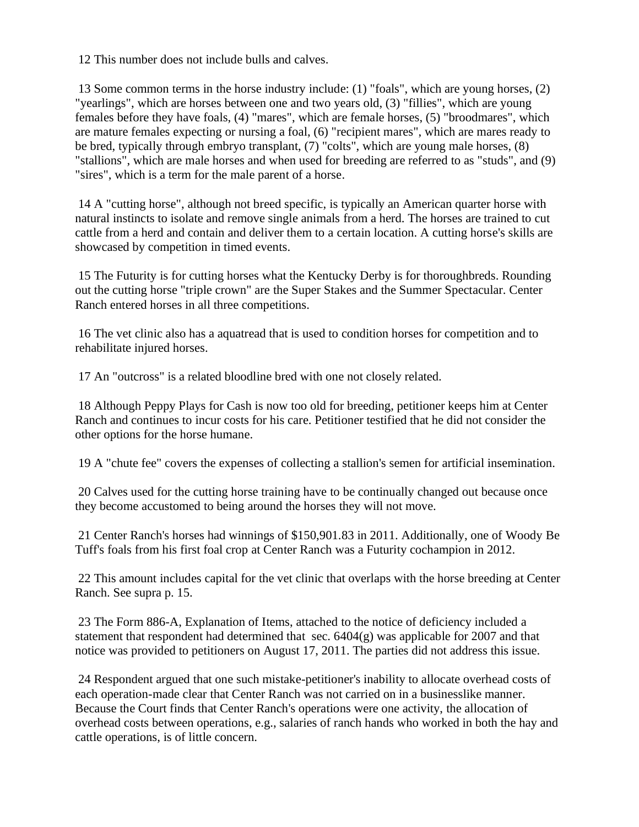12 This number does not include bulls and calves.

13 Some common terms in the horse industry include: (1) "foals", which are young horses, (2) "yearlings", which are horses between one and two years old, (3) "fillies", which are young females before they have foals, (4) "mares", which are female horses, (5) "broodmares", which are mature females expecting or nursing a foal, (6) "recipient mares", which are mares ready to be bred, typically through embryo transplant, (7) "colts", which are young male horses, (8) "stallions", which are male horses and when used for breeding are referred to as "studs", and (9) "sires", which is a term for the male parent of a horse.

14 A "cutting horse", although not breed specific, is typically an American quarter horse with natural instincts to isolate and remove single animals from a herd. The horses are trained to cut cattle from a herd and contain and deliver them to a certain location. A cutting horse's skills are showcased by competition in timed events.

15 The Futurity is for cutting horses what the Kentucky Derby is for thoroughbreds. Rounding out the cutting horse "triple crown" are the Super Stakes and the Summer Spectacular. Center Ranch entered horses in all three competitions.

16 The vet clinic also has a aquatread that is used to condition horses for competition and to rehabilitate injured horses.

17 An "outcross" is a related bloodline bred with one not closely related.

18 Although Peppy Plays for Cash is now too old for breeding, petitioner keeps him at Center Ranch and continues to incur costs for his care. Petitioner testified that he did not consider the other options for the horse humane.

19 A "chute fee" covers the expenses of collecting a stallion's semen for artificial insemination.

20 Calves used for the cutting horse training have to be continually changed out because once they become accustomed to being around the horses they will not move.

21 Center Ranch's horses had winnings of \$150,901.83 in 2011. Additionally, one of Woody Be Tuff's foals from his first foal crop at Center Ranch was a Futurity cochampion in 2012.

22 This amount includes capital for the vet clinic that overlaps with the horse breeding at Center Ranch. See supra p. 15.

23 The Form 886-A, Explanation of Items, attached to the notice of deficiency included a statement that respondent had determined that sec. 6404(g) was applicable for 2007 and that notice was provided to petitioners on August 17, 2011. The parties did not address this issue.

24 Respondent argued that one such mistake-petitioner's inability to allocate overhead costs of each operation-made clear that Center Ranch was not carried on in a businesslike manner. Because the Court finds that Center Ranch's operations were one activity, the allocation of overhead costs between operations, e.g., salaries of ranch hands who worked in both the hay and cattle operations, is of little concern.